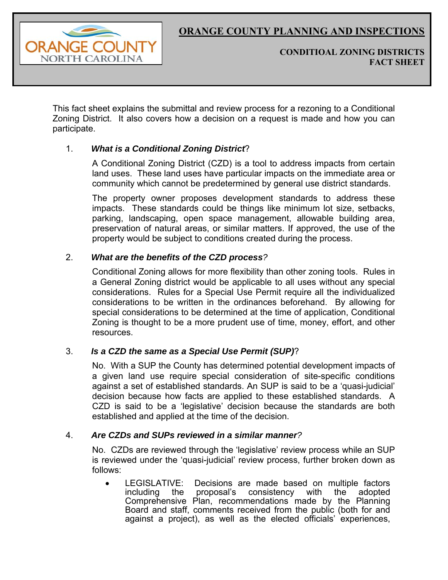

**CONDITIOAL ZONING DISTRICTS FACT SHEET** 

This fact sheet explains the submittal and review process for a rezoning to a Conditional Zoning District. It also covers how a decision on a request is made and how you can participate.

# 1. *What is a Conditional Zoning District*?

A Conditional Zoning District (CZD) is a tool to address impacts from certain land uses. These land uses have particular impacts on the immediate area or community which cannot be predetermined by general use district standards.

The property owner proposes development standards to address these impacts. These standards could be things like minimum lot size, setbacks, parking, landscaping, open space management, allowable building area, preservation of natural areas, or similar matters. If approved, the use of the property would be subject to conditions created during the process.

## 2. *What are the benefits of the CZD process?*

Conditional Zoning allows for more flexibility than other zoning tools. Rules in a General Zoning district would be applicable to all uses without any special considerations. Rules for a Special Use Permit require all the individualized considerations to be written in the ordinances beforehand. By allowing for special considerations to be determined at the time of application, Conditional Zoning is thought to be a more prudent use of time, money, effort, and other resources.

## 3. *Is a CZD the same as a Special Use Permit (SUP)*?

No. With a SUP the County has determined potential development impacts of a given land use require special consideration of site-specific conditions against a set of established standards. An SUP is said to be a 'quasi-judicial' decision because how facts are applied to these established standards. A CZD is said to be a 'legislative' decision because the standards are both established and applied at the time of the decision.

## 4. *Are CZDs and SUPs reviewed in a similar manner?*

No. CZDs are reviewed through the 'legislative' review process while an SUP is reviewed under the 'quasi-judicial' review process, further broken down as follows:

 LEGISLATIVE: Decisions are made based on multiple factors including the proposal's consistency with the adopted Comprehensive Plan, recommendations made by the Planning Board and staff, comments received from the public (both for and against a project), as well as the elected officials' experiences,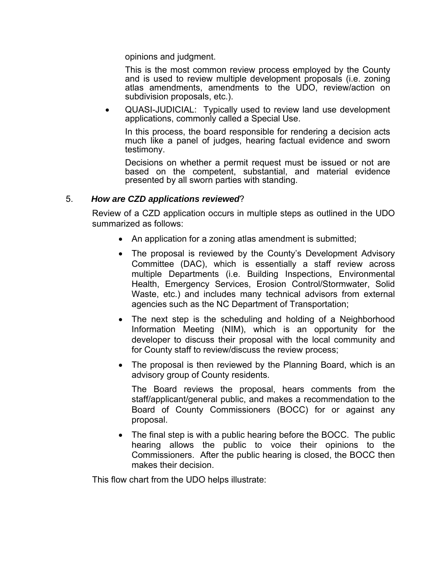opinions and judgment.

This is the most common review process employed by the County and is used to review multiple development proposals (i.e. zoning atlas amendments, amendments to the UDO, review/action on subdivision proposals, etc.).

 QUASI-JUDICIAL: Typically used to review land use development applications, commonly called a Special Use.

In this process, the board responsible for rendering a decision acts much like a panel of judges, hearing factual evidence and sworn testimony.

Decisions on whether a permit request must be issued or not are based on the competent, substantial, and material evidence presented by all sworn parties with standing.

#### 5. *How are CZD applications reviewed*?

Review of a CZD application occurs in multiple steps as outlined in the UDO summarized as follows:

- An application for a zoning atlas amendment is submitted;
- The proposal is reviewed by the County's Development Advisory Committee (DAC), which is essentially a staff review across multiple Departments (i.e. Building Inspections, Environmental Health, Emergency Services, Erosion Control/Stormwater, Solid Waste, etc.) and includes many technical advisors from external agencies such as the NC Department of Transportation;
- The next step is the scheduling and holding of a Neighborhood Information Meeting (NIM), which is an opportunity for the developer to discuss their proposal with the local community and for County staff to review/discuss the review process;
- The proposal is then reviewed by the Planning Board, which is an advisory group of County residents.

The Board reviews the proposal, hears comments from the staff/applicant/general public, and makes a recommendation to the Board of County Commissioners (BOCC) for or against any proposal.

• The final step is with a public hearing before the BOCC. The public hearing allows the public to voice their opinions to the Commissioners. After the public hearing is closed, the BOCC then makes their decision.

This flow chart from the UDO helps illustrate: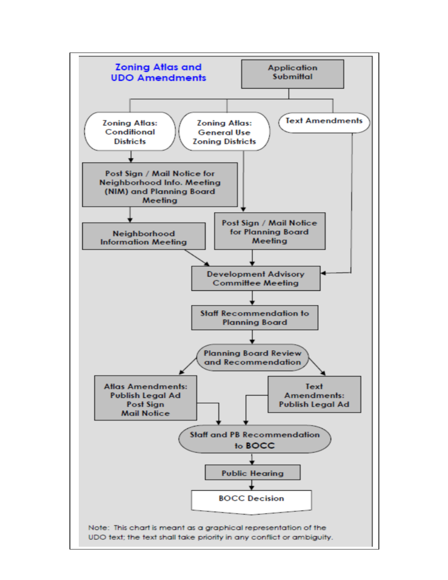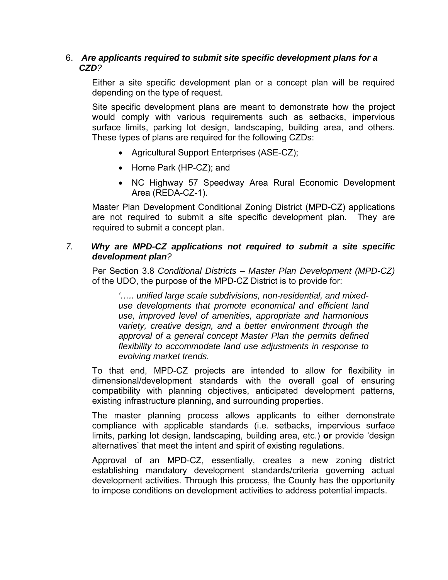## 6. *Are applicants required to submit site specific development plans for a CZD?*

Either a site specific development plan or a concept plan will be required depending on the type of request.

Site specific development plans are meant to demonstrate how the project would comply with various requirements such as setbacks, impervious surface limits, parking lot design, landscaping, building area, and others. These types of plans are required for the following CZDs:

- Agricultural Support Enterprises (ASE-CZ);
- Home Park (HP-CZ); and
- NC Highway 57 Speedway Area Rural Economic Development Area (REDA-CZ-1).

Master Plan Development Conditional Zoning District (MPD-CZ) applications are not required to submit a site specific development plan. They are required to submit a concept plan.

# *7. Why are MPD-CZ applications not required to submit a site specific development plan?*

Per Section 3.8 *Conditional Districts – Master Plan Development (MPD-CZ)*  of the UDO, the purpose of the MPD-CZ District is to provide for:

*'….. unified large scale subdivisions, non-residential, and mixeduse developments that promote economical and efficient land use, improved level of amenities, appropriate and harmonious variety, creative design, and a better environment through the approval of a general concept Master Plan the permits defined flexibility to accommodate land use adjustments in response to evolving market trends.* 

To that end, MPD-CZ projects are intended to allow for flexibility in dimensional/development standards with the overall goal of ensuring compatibility with planning objectives, anticipated development patterns, existing infrastructure planning, and surrounding properties.

The master planning process allows applicants to either demonstrate compliance with applicable standards (i.e. setbacks, impervious surface limits, parking lot design, landscaping, building area, etc.) **or** provide 'design alternatives' that meet the intent and spirit of existing regulations.

Approval of an MPD-CZ, essentially, creates a new zoning district establishing mandatory development standards/criteria governing actual development activities. Through this process, the County has the opportunity to impose conditions on development activities to address potential impacts.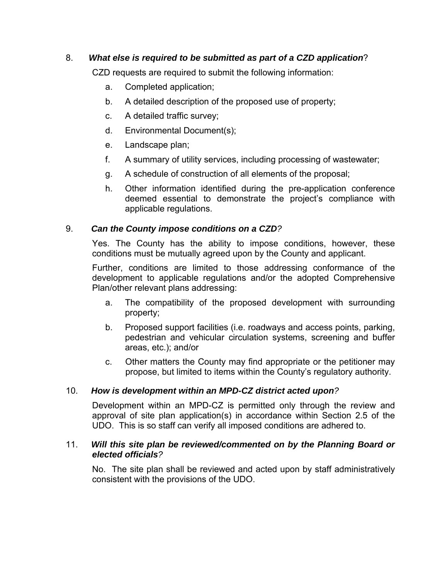# 8. *What else is required to be submitted as part of a CZD application*?

CZD requests are required to submit the following information:

- a. Completed application;
- b. A detailed description of the proposed use of property;
- c. A detailed traffic survey;
- d. Environmental Document(s);
- e. Landscape plan;
- f. A summary of utility services, including processing of wastewater;
- g. A schedule of construction of all elements of the proposal;
- h. Other information identified during the pre-application conference deemed essential to demonstrate the project's compliance with applicable regulations.

# 9. *Can the County impose conditions on a CZD?*

Yes. The County has the ability to impose conditions, however, these conditions must be mutually agreed upon by the County and applicant.

Further, conditions are limited to those addressing conformance of the development to applicable regulations and/or the adopted Comprehensive Plan/other relevant plans addressing:

- a. The compatibility of the proposed development with surrounding property;
- b. Proposed support facilities (i.e. roadways and access points, parking, pedestrian and vehicular circulation systems, screening and buffer areas, etc.); and/or
- c. Other matters the County may find appropriate or the petitioner may propose, but limited to items within the County's regulatory authority.

# 10. *How is development within an MPD-CZ district acted upon?*

Development within an MPD-CZ is permitted only through the review and approval of site plan application(s) in accordance within Section 2.5 of the UDO. This is so staff can verify all imposed conditions are adhered to.

## 11. *Will this site plan be reviewed/commented on by the Planning Board or elected officials?*

No. The site plan shall be reviewed and acted upon by staff administratively consistent with the provisions of the UDO.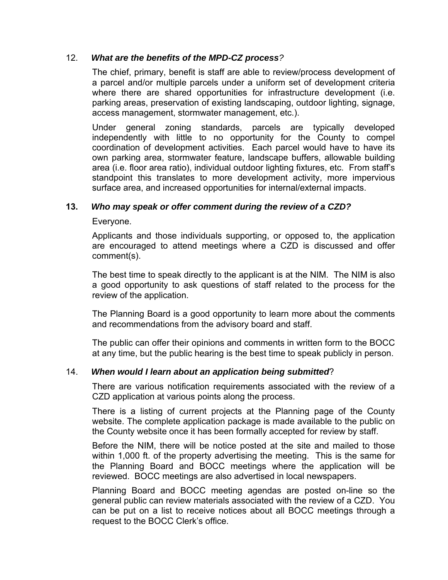## 12. *What are the benefits of the MPD-CZ process?*

The chief, primary, benefit is staff are able to review/process development of a parcel and/or multiple parcels under a uniform set of development criteria where there are shared opportunities for infrastructure development (i.e. parking areas, preservation of existing landscaping, outdoor lighting, signage, access management, stormwater management, etc.).

Under general zoning standards, parcels are typically developed independently with little to no opportunity for the County to compel coordination of development activities. Each parcel would have to have its own parking area, stormwater feature, landscape buffers, allowable building area (i.e. floor area ratio), individual outdoor lighting fixtures, etc. From staff's standpoint this translates to more development activity, more impervious surface area, and increased opportunities for internal/external impacts.

## **13.** *Who may speak or offer comment during the review of a CZD?*

Everyone.

Applicants and those individuals supporting, or opposed to, the application are encouraged to attend meetings where a CZD is discussed and offer comment(s).

The best time to speak directly to the applicant is at the NIM. The NIM is also a good opportunity to ask questions of staff related to the process for the review of the application.

The Planning Board is a good opportunity to learn more about the comments and recommendations from the advisory board and staff.

The public can offer their opinions and comments in written form to the BOCC at any time, but the public hearing is the best time to speak publicly in person.

## 14. *When would I learn about an application being submitted*?

There are various notification requirements associated with the review of a CZD application at various points along the process.

There is a listing of current projects at the Planning page of the County website. The complete application package is made available to the public on the County website once it has been formally accepted for review by staff.

Before the NIM, there will be notice posted at the site and mailed to those within 1,000 ft. of the property advertising the meeting. This is the same for the Planning Board and BOCC meetings where the application will be reviewed. BOCC meetings are also advertised in local newspapers.

Planning Board and BOCC meeting agendas are posted on-line so the general public can review materials associated with the review of a CZD. You can be put on a list to receive notices about all BOCC meetings through a request to the BOCC Clerk's office.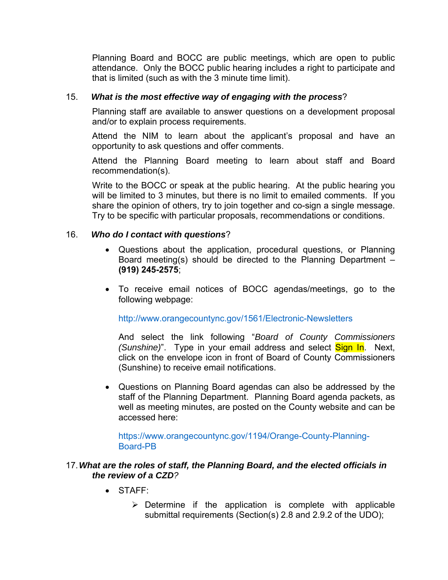Planning Board and BOCC are public meetings, which are open to public attendance. Only the BOCC public hearing includes a right to participate and that is limited (such as with the 3 minute time limit).

## 15. *What is the most effective way of engaging with the process*?

Planning staff are available to answer questions on a development proposal and/or to explain process requirements.

Attend the NIM to learn about the applicant's proposal and have an opportunity to ask questions and offer comments.

Attend the Planning Board meeting to learn about staff and Board recommendation(s).

Write to the BOCC or speak at the public hearing. At the public hearing you will be limited to 3 minutes, but there is no limit to emailed comments. If you share the opinion of others, try to join together and co-sign a single message. Try to be specific with particular proposals, recommendations or conditions.

#### 16. *Who do I contact with questions*?

- Questions about the application, procedural questions, or Planning Board meeting(s) should be directed to the Planning Department – **(919) 245-2575**;
- To receive email notices of BOCC agendas/meetings, go to the following webpage:

## http://www.orangecountync.gov/1561/Electronic-Newsletters

And select the link following "*Board of County Commissioners (Sunshine)*". Type in your email address and select **Sign In**. Next. click on the envelope icon in front of Board of County Commissioners (Sunshine) to receive email notifications.

 Questions on Planning Board agendas can also be addressed by the staff of the Planning Department. Planning Board agenda packets, as well as meeting minutes, are posted on the County website and can be accessed here:

https://www.orangecountync.gov/1194/Orange-County-Planning-Board-PB

#### 17. *What are the roles of staff, the Planning Board, and the elected officials in the review of a CZD?*

- $\bullet$  STAFF $\cdot$ 
	- $\triangleright$  Determine if the application is complete with applicable submittal requirements (Section(s) 2.8 and 2.9.2 of the UDO);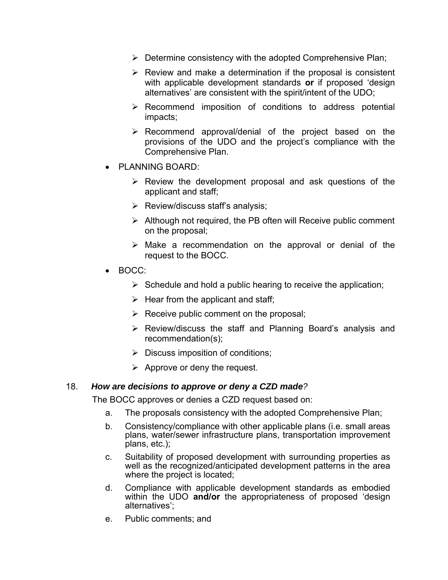- $\triangleright$  Determine consistency with the adopted Comprehensive Plan;
- $\triangleright$  Review and make a determination if the proposal is consistent with applicable development standards **or** if proposed 'design alternatives' are consistent with the spirit/intent of the UDO;
- $\triangleright$  Recommend imposition of conditions to address potential impacts;
- $\triangleright$  Recommend approval/denial of the project based on the provisions of the UDO and the project's compliance with the Comprehensive Plan.
- PLANNING BOARD:
	- $\triangleright$  Review the development proposal and ask questions of the applicant and staff;
	- $\triangleright$  Review/discuss staff's analysis;
	- $\triangleright$  Although not required, the PB often will Receive public comment on the proposal;
	- $\triangleright$  Make a recommendation on the approval or denial of the request to the BOCC.
- BOCC:
	- $\triangleright$  Schedule and hold a public hearing to receive the application;
	- $\triangleright$  Hear from the applicant and staff;
	- $\triangleright$  Receive public comment on the proposal;
	- Review/discuss the staff and Planning Board's analysis and recommendation(s);
	- $\triangleright$  Discuss imposition of conditions;
	- $\triangleright$  Approve or deny the request.

## 18. *How are decisions to approve or deny a CZD made?*

The BOCC approves or denies a CZD request based on:

- a. The proposals consistency with the adopted Comprehensive Plan;
- b. Consistency/compliance with other applicable plans (i.e. small areas plans, water/sewer infrastructure plans, transportation improvement plans, etc.);
- c. Suitability of proposed development with surrounding properties as well as the recognized/anticipated development patterns in the area where the project is located;
- d. Compliance with applicable development standards as embodied within the UDO **and/or** the appropriateness of proposed 'design alternatives';
- e. Public comments; and